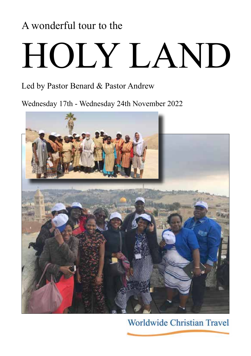# A wonderful tour to the

# HOLY LAND

# Led by Pastor Benard & Pastor Andrew

Wednesday 17th - Wednesday 24th November 2022



Worldwide Christian Travel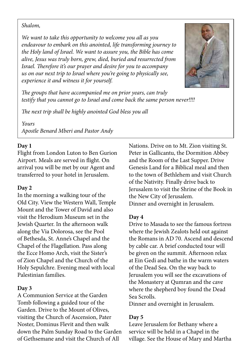### *Shalom,*

*We want to take this opportunity to welcome you all as you endeavour to embark on this anointed, life transforming journey to the Holy land of Israel. We want to assure you, the Bible has come alive, Jesus was truly born, grew, died, buried and resurrected from Israel. Therefore it's our prayer and desire for you to accompany us on our next trip to Israel where you're going to physically see, experience it and witness it for yourself.*



*The groups that have accompanied me on prior years, can truly testify that you cannot go to Israel and come back the same person never!!!!*

*The next trip shall be highly anointed God bless you all*

*Yours Apostle Benard Mberi and Pastor Andy*

### **Day 1**

Flight from London Luton to Ben Gurion Airport. Meals are served in flight. On arrival you will be met by our Agent and transferred to your hotel in Jerusalem.

# **Day 2**

In the morning a walking tour of the Old City. View the Western Wall, Temple Mount and the Tower of David and also visit the Herodium Museum set in the Jewish Quarter. In the afternoon walk along the Via Dolorosa, see the Pool of Bethesda, St. Anne's Chapel and the Chapel of the Flagellation. Pass along the Ecce Homo Arch, visit the Sister's of Zion Chapel and the Church of the Holy Sepulchre. Evening meal with local Palestinian families.

# **Day 3**

A Communion Service at the Garden Tomb following a guided tour of the Garden. Drive to the Mount of Olives, visiting the Church of Ascension, Pater Noster, Dominus Flevit and then walk down the Palm Sunday Road to the Garden of Gethsemane and visit the Church of All

Nations. Drive on to Mt. Zion visiting St. Peter in Gallicantu, the Dormition Abbey and the Room of the Last Supper. Drive Genesis Land for a Biblical meal and then to the town of Bethlehem and visit Church of the Nativity. Finally drive back to Jerusalem to visit the Shrine of the Book in the New City of Jerusalem. Dinner and overnight in Jerusalem.

# **Day 4**

Drive to Masada to see the famous fortress where the Jewish Zealots held out against the Romans in AD 70. Ascend and descend by cable car. A brief conducted tour will be given on the summit. Afternoon relax at Ein Gedi and bathe in the warm waters of the Dead Sea. On the way back to Jerusalem you will see the excavations of the Monastery at Qumran and the cave where the shepherd boy found the Dead Sea Scrolls.

Dinner and overnight in Jerusalem.

# **Day 5**

Leave Jerusalem for Bethany where a service will be held in a Chapel in the village. See the House of Mary and Martha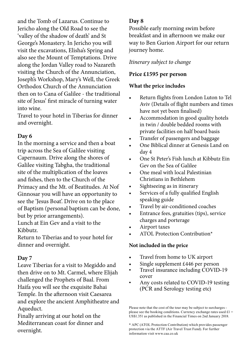and the Tomb of Lazarus. Continue to Jericho along the Old Road to see the 'valley of the shadow of death' and St George's Monastery. In Jericho you will visit the excavations, Elisha's Spring and also see the Mount of Temptations. Drive along the Jordan Valley road to Nazareth visiting the Church of the Annunciation, Joseph's Workshop, Mary's Well, the Greek Orthodox Church of the Annunciation then on to Cana of Galilee - the traditional site of Jesus' first miracle of turning water into wine.

Travel to your hotel in Tiberias for dinner and overnight.

# **Day 6**

In the morning a service and then a boat trip across the Sea of Galilee visiting Capernaum. Drive along the shores of Galilee visiting Tabgha, the traditional site of the multiplication of the loaves and fishes, then to the Church of the Primacy and the Mt. of Beatitudes. At Nof Ginnosar you will have an opportunity to see the 'Jesus Boat'. Drive on to the place of Baptism (personal baptism can be done, but by prior arrangements).

Lunch at Ein Gev and a visit to the Kibbutz.

Return to Tiberias and to your hotel for dinner and overnight.

# **Day 7**

Leave Tiberias for a visit to Megiddo and then drive on to Mt. Carmel, where Elijah challenged the Prophets of Baal. From Haifa you will see the exquisite Bahai Temple. In the afternoon visit Caesarea and explore the ancient Amphitheatre and Aqueduct.

Finally arriving at our hotel on the Mediterranean coast for dinner and overnight.

# **Day 8**

Possible early morning swim before breakfast and in afternoon we make our way to Ben Gurion Airport for our return journey home.

# *Itinerary subject to change*

# **Price £1595 per person**

# **What the price includes**

- Return flights from London Luton to Tel Aviv (Details of flight numbers and times have not yet been finalised)
- Accommodation in good quality hotels in twin / double bedded rooms with private facilities on half board basis
- Transfer of passengers and baggage
- One Biblical dinner at Genesis Land on day 4
- One St Peter's Fish lunch at Kibbutz Ein Gev on the Sea of Galilee
- One meal with local Palestinian Christians in Bethlehem
- Sightseeing as in itinerary
- Services of a fully qualified English speaking guide
- Travel by air-conditioned coaches
- Entrance fees, gratuities (tips), service charges and porterage
- Airport taxes
- ATOL Protection Contribution\*

# **Not included in the price**

- Travel from home to UK airport
- Single supplement £446 per person
- Travel insurance including COVID-19 cover
- Any costs related to COVID-19 testing (PCR and Serology testing etc)

Please note that the cost of the tour may be subject to surcharges please see the booking conditions. Currency exchange rates used  $£1 =$ US\$1.351 as published in the Financial Times on 2nd January 2018.

<sup>\*</sup> APC (ATOL Protection Contribution) which provides passenger protection via the ATTF (Air Travel Trust Fund). For further information visit www.caa.co.uk